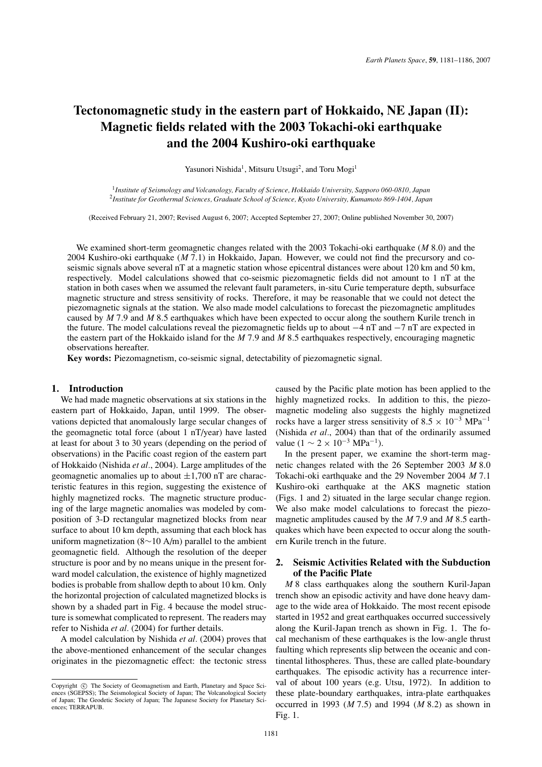# **Tectonomagnetic study in the eastern part of Hokkaido, NE Japan (II): Magnetic fields related with the 2003 Tokachi-oki earthquake and the 2004 Kushiro-oki earthquake**

Yasunori Nishida<sup>1</sup>, Mitsuru Utsugi<sup>2</sup>, and Toru Mogi<sup>1</sup>

<sup>1</sup>*Institute of Seismology and Volcanology, Faculty of Science, Hokkaido University, Sapporo 060-0810, Japan* <sup>2</sup>*Institute for Geothermal Sciences, Graduate School of Science, Kyoto University, Kumamoto 869-1404, Japan*

(Received February 21, 2007; Revised August 6, 2007; Accepted September 27, 2007; Online published November 30, 2007)

We examined short-term geomagnetic changes related with the 2003 Tokachi-oki earthquake (*M* 8.0) and the 2004 Kushiro-oki earthquake (*M* 7.1) in Hokkaido, Japan. However, we could not find the precursory and coseismic signals above several nT at a magnetic station whose epicentral distances were about 120 km and 50 km, respectively. Model calculations showed that co-seismic piezomagnetic fields did not amount to 1 nT at the station in both cases when we assumed the relevant fault parameters, in-situ Curie temperature depth, subsurface magnetic structure and stress sensitivity of rocks. Therefore, it may be reasonable that we could not detect the piezomagnetic signals at the station. We also made model calculations to forecast the piezomagnetic amplitudes caused by *M* 7.9 and *M* 8.5 earthquakes which have been expected to occur along the southern Kurile trench in the future. The model calculations reveal the piezomagnetic fields up to about −4 nT and −7 nT are expected in the eastern part of the Hokkaido island for the *M* 7.9 and *M* 8.5 earthquakes respectively, encouraging magnetic observations hereafter.

**Key words:** Piezomagnetism, co-seismic signal, detectability of piezomagnetic signal.

#### **1. Introduction**

We had made magnetic observations at six stations in the eastern part of Hokkaido, Japan, until 1999. The observations depicted that anomalously large secular changes of the geomagnetic total force (about 1 nT/year) have lasted at least for about 3 to 30 years (depending on the period of observations) in the Pacific coast region of the eastern part of Hokkaido (Nishida *et al.*, 2004). Large amplitudes of the geomagnetic anomalies up to about  $\pm 1,700$  nT are characteristic features in this region, suggesting the existence of highly magnetized rocks. The magnetic structure producing of the large magnetic anomalies was modeled by composition of 3-D rectangular magnetized blocks from near surface to about 10 km depth, assuming that each block has uniform magnetization (8∼10 A/m) parallel to the ambient geomagnetic field. Although the resolution of the deeper structure is poor and by no means unique in the present forward model calculation, the existence of highly magnetized bodies is probable from shallow depth to about 10 km. Only the horizontal projection of calculated magnetized blocks is shown by a shaded part in Fig. 4 because the model structure is somewhat complicated to represent. The readers may refer to Nishida *et al.* (2004) for further details.

A model calculation by Nishida *et al.* (2004) proves that the above-mentioned enhancement of the secular changes originates in the piezomagnetic effect: the tectonic stress

caused by the Pacific plate motion has been applied to the highly magnetized rocks. In addition to this, the piezomagnetic modeling also suggests the highly magnetized rocks have a larger stress sensitivity of  $8.5 \times 10^{-3}$  MPa<sup>-1</sup> (Nishida *et al.*, 2004) than that of the ordinarily assumed value ( $1 \sim 2 \times 10^{-3}$  MPa<sup>-1</sup>).

In the present paper, we examine the short-term magnetic changes related with the 26 September 2003 *M* 8.0 Tokachi-oki earthquake and the 29 November 2004 *M* 7.1 Kushiro-oki earthquake at the AKS magnetic station (Figs. 1 and 2) situated in the large secular change region. We also make model calculations to forecast the piezomagnetic amplitudes caused by the *M* 7.9 and *M* 8.5 earthquakes which have been expected to occur along the southern Kurile trench in the future.

## **2. Seismic Activities Related with the Subduction of the Pacific Plate**

*M* 8 class earthquakes along the southern Kuril-Japan trench show an episodic activity and have done heavy damage to the wide area of Hokkaido. The most recent episode started in 1952 and great earthquakes occurred successively along the Kuril-Japan trench as shown in Fig. 1. The focal mechanism of these earthquakes is the low-angle thrust faulting which represents slip between the oceanic and continental lithospheres. Thus, these are called plate-boundary earthquakes. The episodic activity has a recurrence interval of about 100 years (e.g. Utsu, 1972). In addition to these plate-boundary earthquakes, intra-plate earthquakes occurred in 1993 (*M* 7.5) and 1994 (*M* 8.2) as shown in Fig. 1.

Copyright  $\odot$  The Society of Geomagnetism and Earth, Planetary and Space Sciences (SGEPSS); The Seismological Society of Japan; The Volcanological Society of Japan; The Geodetic Society of Japan; The Japanese Society for Planetary Sciences; TERRAPUB.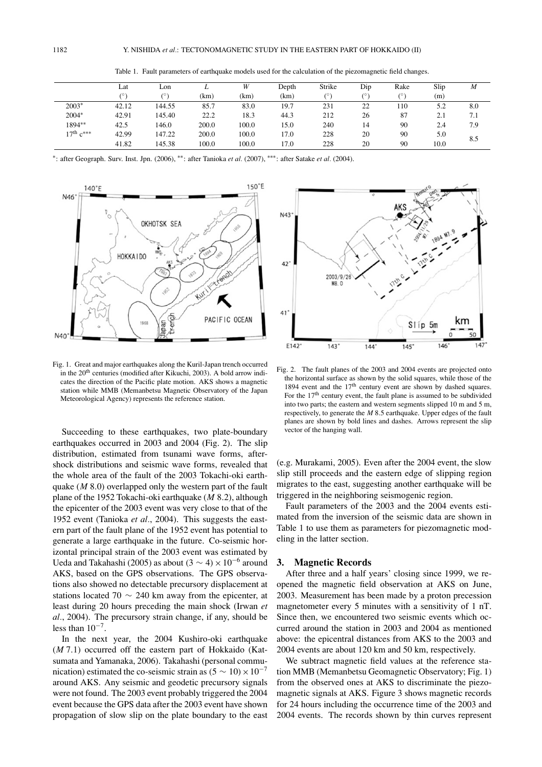|                  | Lat   | Lon        | ⊥     | W     | Depth | Strike | Dip | Rake | Slip | M   |
|------------------|-------|------------|-------|-------|-------|--------|-----|------|------|-----|
|                  |       | $(^\circ)$ | (km)  | (km)  | (km)  | (0)    | 70) | (0)  | (m)  |     |
| $2003*$          | 42.12 | 144.55     | 85.7  | 83.0  | 19.7  | 231    | 22  | 110  | 5.2  | 8.0 |
| $2004*$          | 42.91 | 145.40     | 22.2  | 18.3  | 44.3  | 212    | 26  | 87   | 2.1  | 7.1 |
| 1894**           | 42.5  | 146.0      | 200.0 | 100.0 | 15.0  | 240    | 14  | 90   | 2.4  | 7.9 |
| $17^{th}$ $c***$ | 42.99 | 147.22     | 200.0 | 100.0 | 17.0  | 228    | 20  | 90   | 5.0  | 8.5 |
|                  | 41.82 | 145.38     | 100.0 | 100.0 | 17.0  | 228    | 20  | 90   | 10.0 |     |

Table 1. Fault parameters of earthquake models used for the calculation of the piezomagnetic field changes.

∗: after Geograph. Surv. Inst. Jpn. (2006), ∗∗: after Tanioka *et al.* (2007), ∗∗∗: after Satake *et al.* (2004).



Fig. 1. Great and major earthquakes along the Kuril-Japan trench occurred in the 20<sup>th</sup> centuries (modified after Kikuchi, 2003). A bold arrow indicates the direction of the Pacific plate motion. AKS shows a magnetic station while MMB (Memanbetsu Magnetic Observatory of the Japan Meteorological Agency) represents the reference station.

Succeeding to these earthquakes, two plate-boundary earthquakes occurred in 2003 and 2004 (Fig. 2). The slip distribution, estimated from tsunami wave forms, aftershock distributions and seismic wave forms, revealed that the whole area of the fault of the 2003 Tokachi-oki earthquake (*M* 8.0) overlapped only the western part of the fault plane of the 1952 Tokachi-oki earthquake (*M* 8.2), although the epicenter of the 2003 event was very close to that of the 1952 event (Tanioka *et al.*, 2004). This suggests the eastern part of the fault plane of the 1952 event has potential to generate a large earthquake in the future. Co-seismic horizontal principal strain of the 2003 event was estimated by Ueda and Takahashi (2005) as about (3  $\sim$  4) × 10<sup>-6</sup> around AKS, based on the GPS observations. The GPS observations also showed no detectable precursory displacement at stations located 70  $\sim$  240 km away from the epicenter, at least during 20 hours preceding the main shock (Irwan *et al.*, 2004). The precursory strain change, if any, should be less than  $10^{-7}$ .

In the next year, the 2004 Kushiro-oki earthquake (*M* 7.1) occurred off the eastern part of Hokkaido (Katsumata and Yamanaka, 2006). Takahashi (personal communication) estimated the co-seismic strain as  $(5 \sim 10) \times 10^{-7}$ around AKS. Any seismic and geodetic precursory signals were not found. The 2003 event probably triggered the 2004 event because the GPS data after the 2003 event have shown propagation of slow slip on the plate boundary to the east



Fig. 2. The fault planes of the 2003 and 2004 events are projected onto the horizontal surface as shown by the solid squares, while those of the 1894 event and the 17<sup>th</sup> century event are shown by dashed squares. For the  $17<sup>th</sup>$  century event, the fault plane is assumed to be subdivided into two parts; the eastern and western segments slipped 10 m and 5 m, respectively, to generate the *M* 8.5 earthquake. Upper edges of the fault planes are shown by bold lines and dashes. Arrows represent the slip vector of the hanging wall.

(e.g. Murakami, 2005). Even after the 2004 event, the slow slip still proceeds and the eastern edge of slipping region migrates to the east, suggesting another earthquake will be triggered in the neighboring seismogenic region.

Fault parameters of the 2003 and the 2004 events estimated from the inversion of the seismic data are shown in Table 1 to use them as parameters for piezomagnetic modeling in the latter section.

### **3. Magnetic Records**

After three and a half years' closing since 1999, we reopened the magnetic field observation at AKS on June, 2003. Measurement has been made by a proton precession magnetometer every 5 minutes with a sensitivity of 1 nT. Since then, we encountered two seismic events which occurred around the station in 2003 and 2004 as mentioned above: the epicentral distances from AKS to the 2003 and 2004 events are about 120 km and 50 km, respectively.

We subtract magnetic field values at the reference station MMB (Memanbetsu Geomagnetic Observatory; Fig. 1) from the observed ones at AKS to discriminate the piezomagnetic signals at AKS. Figure 3 shows magnetic records for 24 hours including the occurrence time of the 2003 and 2004 events. The records shown by thin curves represent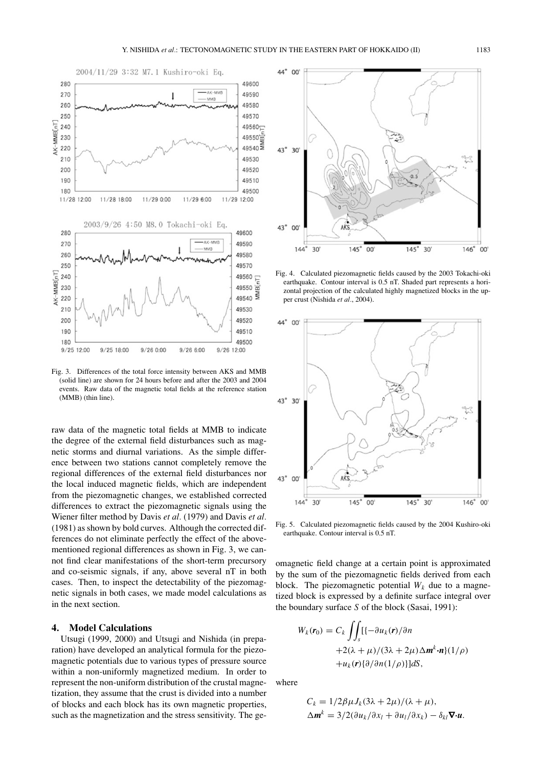

Fig. 3. Differences of the total force intensity between AKS and MMB (solid line) are shown for 24 hours before and after the 2003 and 2004 events. Raw data of the magnetic total fields at the reference station (MMB) (thin line).

raw data of the magnetic total fields at MMB to indicate the degree of the external field disturbances such as magnetic storms and diurnal variations. As the simple difference between two stations cannot completely remove the regional differences of the external field disturbances nor the local induced magnetic fields, which are independent from the piezomagnetic changes, we established corrected differences to extract the piezomagnetic signals using the Wiener filter method by Davis *et al.* (1979) and Davis *et al.* (1981) as shown by bold curves. Although the corrected differences do not eliminate perfectly the effect of the abovementioned regional differences as shown in Fig. 3, we cannot find clear manifestations of the short-term precursory and co-seismic signals, if any, above several nT in both cases. Then, to inspect the detectability of the piezomagnetic signals in both cases, we made model calculations as in the next section.

# **4. Model Calculations**

Utsugi (1999, 2000) and Utsugi and Nishida (in preparation) have developed an analytical formula for the piezomagnetic potentials due to various types of pressure source within a non-uniformly magnetized medium. In order to represent the non-uniform distribution of the crustal magnetization, they assume that the crust is divided into a number of blocks and each block has its own magnetic properties, such as the magnetization and the stress sensitivity. The ge-



Fig. 4. Calculated piezomagnetic fields caused by the 2003 Tokachi-oki earthquake. Contour interval is 0.5 nT. Shaded part represents a horizontal projection of the calculated highly magnetized blocks in the upper crust (Nishida *et al.*, 2004).



Fig. 5. Calculated piezomagnetic fields caused by the 2004 Kushiro-oki earthquake. Contour interval is 0.5 nT.

omagnetic field change at a certain point is approximated by the sum of the piezomagnetic fields derived from each block. The piezomagnetic potential  $W_k$  due to a magnetized block is expressed by a definite surface integral over the boundary surface *S* of the block (Sasai, 1991):

$$
W_k(\mathbf{r}_0) = C_k \iint_S [{-\partial u_k(\mathbf{r})}/{\partial n} +2(\lambda + \mu)/(3\lambda + 2\mu)\Delta \mathbf{m}^k \cdot \mathbf{n}](1/\rho) +u_k(\mathbf{r}){\partial \partial n(1/\rho)}dS,
$$

where

$$
C_k = 1/2\beta\mu J_k(3\lambda + 2\mu)/(\lambda + \mu),
$$
  
\n
$$
\Delta \mathbf{m}^k = 3/2(\partial u_k/\partial x_l + \partial u_l/\partial x_k) - \delta_{kl} \nabla \cdot \mathbf{u}.
$$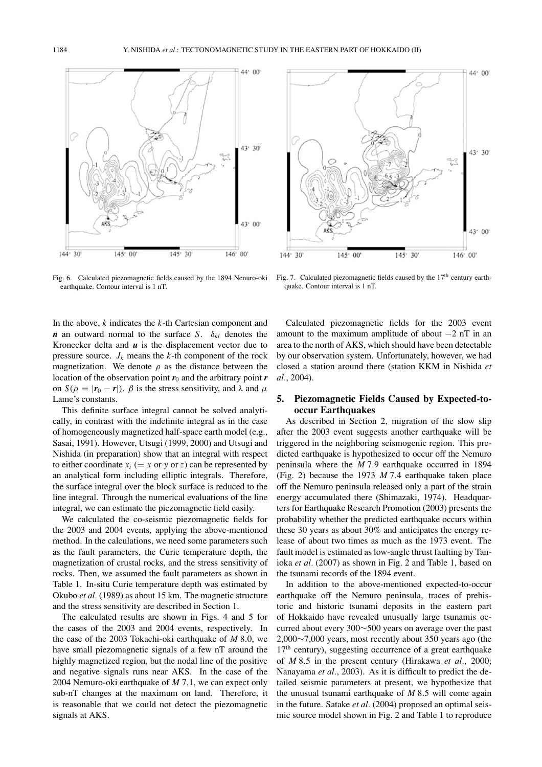

Fig. 6. Calculated piezomagnetic fields caused by the 1894 Nenuro-oki earthquake. Contour interval is 1 nT.

In the above, *k* indicates the *k*-th Cartesian component and *n* an outward normal to the surface *S*.  $\delta_{kl}$  denotes the Kronecker delta and  $\boldsymbol{u}$  is the displacement vector due to pressure source.  $J_k$  means the  $k$ -th component of the rock magnetization. We denote  $\rho$  as the distance between the location of the observation point  $r_0$  and the arbitrary point  $r$ on  $S(\rho = |r_0 - r|)$ .  $\beta$  is the stress sensitivity, and  $\lambda$  and  $\mu$ Lame's constants.

This definite surface integral cannot be solved analytically, in contrast with the indefinite integral as in the case of homogeneously magnetized half-space earth model (e.g., Sasai, 1991). However, Utsugi (1999, 2000) and Utsugi and Nishida (in preparation) show that an integral with respect to either coordinate  $x_i (= x \text{ or } y \text{ or } z)$  can be represented by an analytical form including elliptic integrals. Therefore, the surface integral over the block surface is reduced to the line integral. Through the numerical evaluations of the line integral, we can estimate the piezomagnetic field easily.

We calculated the co-seismic piezomagnetic fields for the 2003 and 2004 events, applying the above-mentioned method. In the calculations, we need some parameters such as the fault parameters, the Curie temperature depth, the magnetization of crustal rocks, and the stress sensitivity of rocks. Then, we assumed the fault parameters as shown in Table 1. In-situ Curie temperature depth was estimated by Okubo *et al.* (1989) as about 15 km. The magnetic structure and the stress sensitivity are described in Section 1.

The calculated results are shown in Figs. 4 and 5 for the cases of the 2003 and 2004 events, respectively. In the case of the 2003 Tokachi-oki earthquake of *M* 8.0, we have small piezomagnetic signals of a few nT around the highly magnetized region, but the nodal line of the positive and negative signals runs near AKS. In the case of the 2004 Nemuro-oki earthquake of *M* 7.1, we can expect only sub-nT changes at the maximum on land. Therefore, it is reasonable that we could not detect the piezomagnetic signals at AKS.



Fig. 7. Calculated piezomagnetic fields caused by the 17<sup>th</sup> century earthquake. Contour interval is 1 nT.

Calculated piezomagnetic fields for the 2003 event amount to the maximum amplitude of about −2 nT in an area to the north of AKS, which should have been detectable by our observation system. Unfortunately, however, we had closed a station around there (station KKM in Nishida *et al.*, 2004).

# **5. Piezomagnetic Fields Caused by Expected-tooccur Earthquakes**

As described in Section 2, migration of the slow slip after the 2003 event suggests another earthquake will be triggered in the neighboring seismogenic region. This predicted earthquake is hypothesized to occur off the Nemuro peninsula where the *M* 7.9 earthquake occurred in 1894 (Fig. 2) because the 1973 *M* 7.4 earthquake taken place off the Nemuro peninsula released only a part of the strain energy accumulated there (Shimazaki, 1974). Headquarters for Earthquake Research Promotion (2003) presents the probability whether the predicted earthquake occurs within these 30 years as about 30% and anticipates the energy release of about two times as much as the 1973 event. The fault model is estimated as low-angle thrust faulting by Tanioka *et al.* (2007) as shown in Fig. 2 and Table 1, based on the tsunami records of the 1894 event.

In addition to the above-mentioned expected-to-occur earthquake off the Nemuro peninsula, traces of prehistoric and historic tsunami deposits in the eastern part of Hokkaido have revealed unusually large tsunamis occurred about every 300∼500 years on average over the past 2,000∼7,000 years, most recently about 350 years ago (the  $17<sup>th</sup>$  century), suggesting occurrence of a great earthquake of *M* 8.5 in the present century (Hirakawa *et al.*, 2000; Nanayama *et al.*, 2003). As it is difficult to predict the detailed seismic parameters at present, we hypothesize that the unusual tsunami earthquake of *M* 8.5 will come again in the future. Satake *et al.* (2004) proposed an optimal seismic source model shown in Fig. 2 and Table 1 to reproduce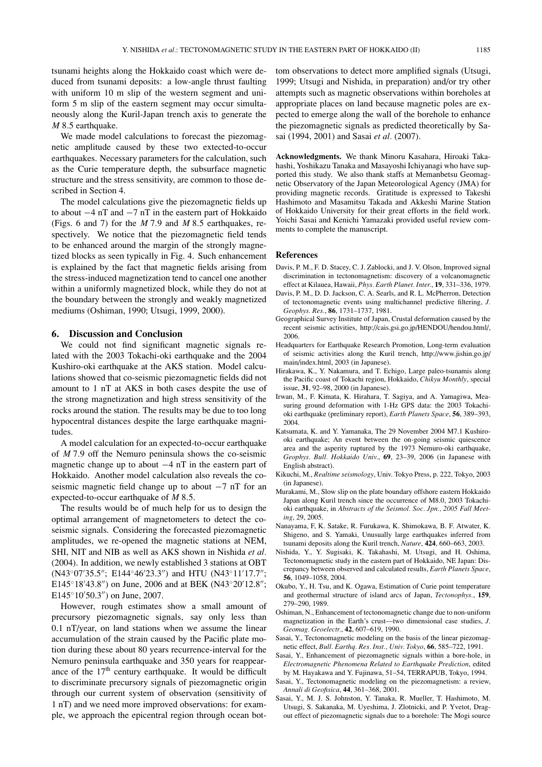tsunami heights along the Hokkaido coast which were deduced from tsunami deposits: a low-angle thrust faulting with uniform 10 m slip of the western segment and uniform 5 m slip of the eastern segment may occur simultaneously along the Kuril-Japan trench axis to generate the *M* 8.5 earthquake.

We made model calculations to forecast the piezomagnetic amplitude caused by these two extected-to-occur earthquakes. Necessary parameters for the calculation, such as the Curie temperature depth, the subsurface magnetic structure and the stress sensitivity, are common to those described in Section 4.

The model calculations give the piezomagnetic fields up to about −4 nT and −7 nT in the eastern part of Hokkaido (Figs. 6 and 7) for the *M* 7.9 and *M* 8.5 earthquakes, respectively. We notice that the piezomagnetic field tends to be enhanced around the margin of the strongly magnetized blocks as seen typically in Fig. 4. Such enhancement is explained by the fact that magnetic fields arising from the stress-induced magnetization tend to cancel one another within a uniformly magnetized block, while they do not at the boundary between the strongly and weakly magnetized mediums (Oshiman, 1990; Utsugi, 1999, 2000).

#### **6. Discussion and Conclusion**

We could not find significant magnetic signals related with the 2003 Tokachi-oki earthquake and the 2004 Kushiro-oki earthquake at the AKS station. Model calculations showed that co-seismic piezomagnetic fields did not amount to 1 nT at AKS in both cases despite the use of the strong magnetization and high stress sensitivity of the rocks around the station. The results may be due to too long hypocentral distances despite the large earthquake magnitudes.

A model calculation for an expected-to-occur earthquake of *M* 7.9 off the Nemuro peninsula shows the co-seismic magnetic change up to about −4 nT in the eastern part of Hokkaido. Another model calculation also reveals the coseismic magnetic field change up to about −7 nT for an expected-to-occur earthquake of *M* 8.5.

The results would be of much help for us to design the optimal arrangement of magnetometers to detect the coseismic signals. Considering the forecasted piezomagnetic amplitudes, we re-opened the magnetic stations at NEM, SHI, NIT and NIB as well as AKS shown in Nishida *et al.* (2004). In addition, we newly established 3 stations at OBT (N43°07′35.5″; E144°46′23.3″) and HTU (N43°11′17.7″; E145°18′43.8″) on June, 2006 and at BEK (N43°20′12.8″;  $E145°10'50.3'$  on June, 2007.

However, rough estimates show a small amount of precursory piezomagnetic signals, say only less than 0.1 nT/year, on land stations when we assume the linear accumulation of the strain caused by the Pacific plate motion during these about 80 years recurrence-interval for the Nemuro peninsula earthquake and 350 years for reappearance of the 17<sup>th</sup> century earthquake. It would be difficult to discriminate precursory signals of piezomagnetic origin through our current system of observation (sensitivity of 1 nT) and we need more improved observations: for example, we approach the epicentral region through ocean bot-

tom observations to detect more amplified signals (Utsugi, 1999; Utsugi and Nishida, in preparation) and/or try other attempts such as magnetic observations within boreholes at appropriate places on land because magnetic poles are expected to emerge along the wall of the borehole to enhance the piezomagnetic signals as predicted theoretically by Sasai (1994, 2001) and Sasai *et al.* (2007).

**Acknowledgments.** We thank Minoru Kasahara, Hiroaki Takahashi, Yoshikazu Tanaka and Masayoshi Ichiyanagi who have supported this study. We also thank staffs at Memanbetsu Geomagnetic Observatory of the Japan Meteorological Agency (JMA) for providing magnetic records. Gratitude is expressed to Takeshi Hashimoto and Masamitsu Takada and Akkeshi Marine Station of Hokkaido University for their great efforts in the field work. Yoichi Sasai and Kenichi Yamazaki provided useful review comments to complete the manuscript.

#### **References**

- Davis, P. M., F. D. Stacey, C. J. Zablocki, and J. V. Olson, Improved signal discrimination in tectonomagnetism: discovery of a volcanomagnetic effect at Kilauea, Hawaii, *Phys. Earth Planet. Inter.*, **19**, 331–336, 1979.
- Davis, P. M., D. D. Jackson, C. A. Searls, and R. L. McPherron, Detection of tectonomagnetic events using multichannel predictive filtering, *J. Geophys. Res.*, **86**, 1731–1737, 1981.
- Geographical Survey Institute of Japan, Crustal deformation caused by the recent seismic activities, http://cais.gsi.go.jp/HENDOU/hendou.html/, 2006.
- Headquarters for Earthquake Research Promotion, Long-term evaluation of seismic activities along the Kuril trench, http://www.jishin.go.jp/ main/index.html, 2003 (in Japanese).
- Hirakawa, K., Y. Nakamura, and T. Echigo, Large paleo-tsunamis along the Pacific coast of Tokachi region, Hokkaido, *Chikyu Monthly*, special issue, **31**, 92–98, 2000 (in Japanese).
- Irwan, M., F. Kimata, K. Hirahara, T. Sagiya, and A. Yamagiwa, Measuring ground deformation with 1-Hz GPS data: the 2003 Tokachioki earthquake (preliminary report), *Earth Planets Space*, **56**, 389–393, 2004.
- Katsumata, K. and Y. Yamanaka, The 29 November 2004 M7.1 Kushirooki earthquake; An event between the on-going seismic quiescence area and the asperity ruptured by the 1973 Nemuro-oki earthquake, *Geophys. Bull. Hokkaido Univ.*, **69**, 23–39, 2006 (in Japanese with English abstract).
- Kikuchi, M., *Realtime seismology*, Univ. Tokyo Press, p. 222, Tokyo, 2003 (in Japanese).
- Murakami, M., Slow slip on the plate boundary offshore eastern Hokkaido Japan along Kuril trench since the occurrence of M8.0, 2003 Tokachioki earthquake, in *Abstracts of the Seismol. Soc. Jpn., 2005 Fall Meeting*, 29, 2005.
- Nanayama, F, K. Satake, R. Furukawa, K. Shimokawa, B. F. Atwater, K. Shigeno, and S. Yamaki, Unusually large earthquakes inferred from tsunami deposits along the Kuril trench, *Nature*, **424**, 660–663, 2003.
- Nishida, Y., Y. Sugisaki, K. Takahashi, M. Utsugi, and H. Oshima, Tectonomagnetic study in the eastern part of Hokkaido, NE Japan: Discrepancy between observed and calculated results, *Earth Planets Space*, **56**, 1049–1058, 2004.
- Okubo, Y., H. Tsu, and K. Ogawa, Estimation of Curie point temperature and geothermal structure of island arcs of Japan, *Tectonophys.*, **159**, 279–290, 1989.
- Oshiman, N., Enhancement of tectonomagnetic change due to non-uniform magnetization in the Earth's crust—two dimensional case studies, *J. Geomag. Geoelectr.*, **42**, 607–619, 1990.
- Sasai, Y., Tectonomagnetic modeling on the basis of the linear piezomagnetic effect, *Bull. Earthq. Res. Inst., Univ. Tokyo*, **66**, 585–722, 1991.
- Sasai, Y., Enhancement of piezomagnetic signals within a bore-hole, in *Electromagnetic Phenomena Related to Earthquake Prediction*, edited by M. Hayakawa and Y. Fujinawa, 51–54, TERRAPUB, Tokyo, 1994.
- Sasai, Y., Tectonomagnetic modeling on the piezomagnetism: a review, *Annali di Geofisica*, **44**, 361–368, 2001.
- Sasai, Y., M. J. S. Johnston, Y. Tanaka, R. Mueller, T. Hashimoto, M. Utsugi, S. Sakanaka, M. Uyeshima, J. Zlotnicki, and P. Yvetot, Dragout effect of piezomagnetic signals due to a borehole: The Mogi source